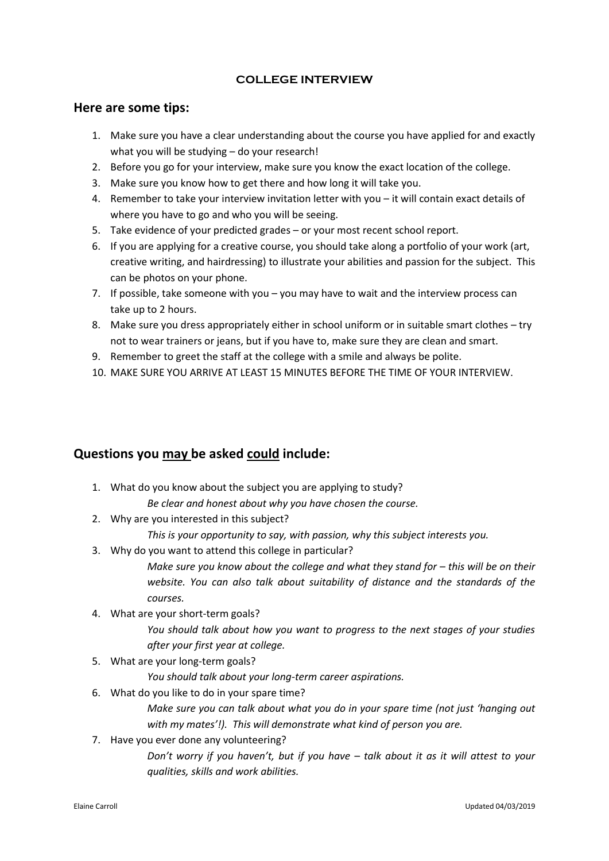## **COLLEGE INTERVIEW**

## **Here are some tips:**

- 1. Make sure you have a clear understanding about the course you have applied for and exactly what you will be studying – do your research!
- 2. Before you go for your interview, make sure you know the exact location of the college.
- 3. Make sure you know how to get there and how long it will take you.
- 4. Remember to take your interview invitation letter with you it will contain exact details of where you have to go and who you will be seeing.
- 5. Take evidence of your predicted grades or your most recent school report.
- 6. If you are applying for a creative course, you should take along a portfolio of your work (art, creative writing, and hairdressing) to illustrate your abilities and passion for the subject. This can be photos on your phone.
- 7. If possible, take someone with you you may have to wait and the interview process can take up to 2 hours.
- 8. Make sure you dress appropriately either in school uniform or in suitable smart clothes try not to wear trainers or jeans, but if you have to, make sure they are clean and smart.
- 9. Remember to greet the staff at the college with a smile and always be polite.
- 10. MAKE SURE YOU ARRIVE AT LEAST 15 MINUTES BEFORE THE TIME OF YOUR INTERVIEW.

## **Questions you may be asked could include:**

- 1. What do you know about the subject you are applying to study? *Be clear and honest about why you have chosen the course.*
- 2. Why are you interested in this subject?
	- *This is your opportunity to say, with passion, why this subject interests you.*
- 3. Why do you want to attend this college in particular?

*Make sure you know about the college and what they stand for – this will be on their website. You can also talk about suitability of distance and the standards of the courses.*

4. What are your short-term goals?

*You should talk about how you want to progress to the next stages of your studies after your first year at college.*

5. What are your long-term goals?

*You should talk about your long-term career aspirations.*

6. What do you like to do in your spare time?

*Make sure you can talk about what you do in your spare time (not just 'hanging out*  with my mates'!). This will demonstrate what kind of person you are.

7. Have you ever done any volunteering?

*Don't worry if you haven't, but if you have – talk about it as it will attest to your qualities, skills and work abilities.*